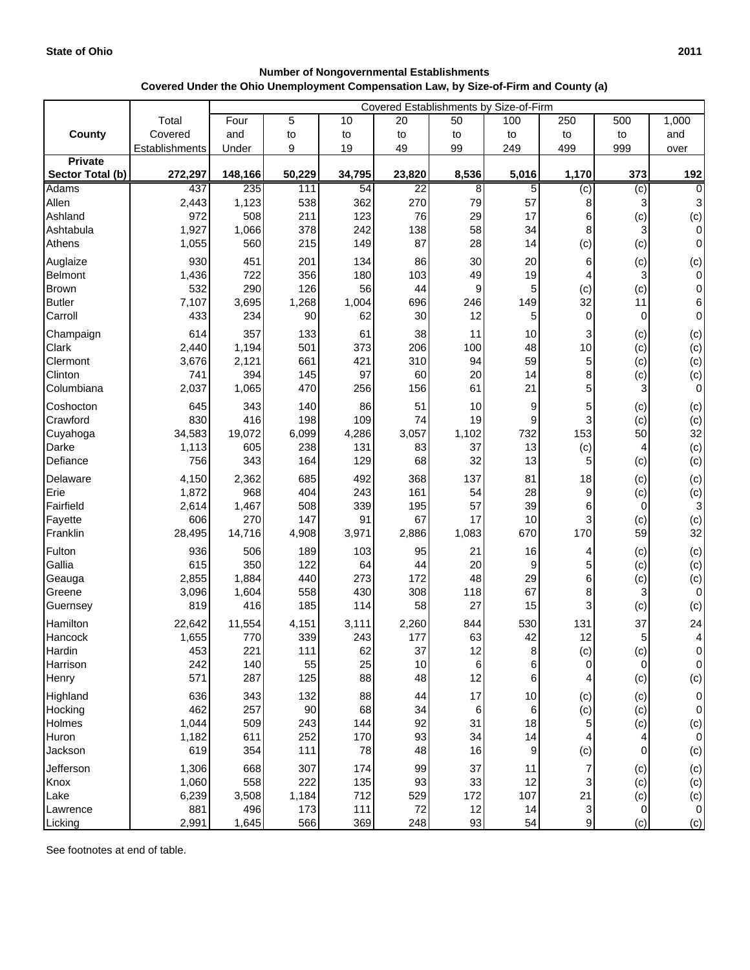| <b>Number of Nongovernmental Establishments</b>                                      |  |  |  |  |  |  |  |
|--------------------------------------------------------------------------------------|--|--|--|--|--|--|--|
| Covered Under the Ohio Unemployment Compensation Law, by Size-of-Firm and County (a) |  |  |  |  |  |  |  |

|                               |                | Covered Establishments by Size-of-Firm |              |            |                 |           |                  |                |                |                                  |
|-------------------------------|----------------|----------------------------------------|--------------|------------|-----------------|-----------|------------------|----------------|----------------|----------------------------------|
|                               | Total          | Four                                   | 5            | 10         | 20              | 50        | 100              | 250            | 500            | 1,000                            |
| County                        | Covered        | and                                    | to           | to         | to              | to        | to               | to             | to             | and                              |
|                               | Establishments | Under                                  | 9            | 19         | 49              | 99        | 249              | 499            | 999            | over                             |
| <b>Private</b>                |                |                                        |              |            |                 |           |                  |                |                |                                  |
| Sector Total (b)              | 272,297        | 148,166                                | 50,229       | 34,795     | 23,820          | 8,536     | 5,016            | 1,170          | 373            | 192                              |
| <b>Adams</b>                  | 437            | 235                                    | 111          | 54         | $\overline{22}$ | 8         | 5                | $\overline{c}$ | (c)            | $\overline{0}$                   |
| Allen                         | 2,443          | 1,123                                  | 538          | 362        | 270             | 79        | 57               | 8              | 3              | 3                                |
| Ashland                       | 972            | 508                                    | 211          | 123        | 76              | 29<br>58  | 17<br>34         | 6              | (c)            | (c)                              |
| Ashtabula                     | 1,927<br>1,055 | 1,066<br>560                           | 378<br>215   | 242<br>149 | 138<br>87       | 28        | 14               | 8<br>(c)       | 3              | $\overline{0}$<br>$\overline{0}$ |
| Athens                        |                |                                        |              |            |                 |           |                  |                | (c)            |                                  |
| Auglaize                      | 930            | 451                                    | 201          | 134        | 86              | 30        | 20               | 6              | (c)            | (c)                              |
| Belmont                       | 1,436          | 722<br>290                             | 356          | 180<br>56  | 103             | 49        | 19               |                | 3              | $\overline{0}$<br>$\overline{0}$ |
| <b>Brown</b><br><b>Butler</b> | 532<br>7,107   | 3,695                                  | 126<br>1,268 | 1,004      | 44<br>696       | 9<br>246  | 5<br>149         | (c)<br>32      | (c)<br>11      | $6 \overline{6}$                 |
| Carroll                       | 433            | 234                                    | 90           | 62         | 30              | 12        | 5                | 0              | 0              | $\overline{0}$                   |
|                               |                |                                        |              |            |                 |           |                  |                |                |                                  |
| Champaign                     | 614            | 357                                    | 133          | 61         | 38              | 11        | 10               | 3              | (c)            | (c)                              |
| Clark<br>Clermont             | 2,440<br>3,676 | 1,194                                  | 501<br>661   | 373<br>421 | 206<br>310      | 100<br>94 | 48<br>59         | 10             | (c)            | (c)                              |
| Clinton                       | 741            | 2,121<br>394                           | 145          | 97         | 60              | 20        | 14               | 5<br>8         | (c)<br>(c)     | (c)<br>(c)                       |
| Columbiana                    | 2,037          | 1,065                                  | 470          | 256        | 156             | 61        | 21               | 5              | 3              | $\overline{0}$                   |
|                               |                |                                        |              |            |                 |           |                  |                |                |                                  |
| Coshocton<br>Crawford         | 645<br>830     | 343<br>416                             | 140<br>198   | 86<br>109  | 51<br>74        | 10<br>19  | 9<br>9           | 5<br>3         | (c)            | (c)                              |
| Cuyahoga                      | 34,583         | 19,072                                 | 6,099        | 4,286      | 3,057           | 1,102     | 732              | 153            | (c)<br>50      | (c)<br>32                        |
| Darke                         | 1,113          | 605                                    | 238          | 131        | 83              | 37        | 13               | (c)            | 4              | (c)                              |
| Defiance                      | 756            | 343                                    | 164          | 129        | 68              | 32        | 13               | 5              | (c)            | (c)                              |
| Delaware                      | 4,150          | 2,362                                  | 685          | 492        | 368             | 137       | 81               | 18             |                |                                  |
| Erie                          | 1,872          | 968                                    | 404          | 243        | 161             | 54        | 28               | 9              | (c)<br>(c)     | (c)<br>(c)                       |
| Fairfield                     | 2,614          | 1,467                                  | 508          | 339        | 195             | 57        | 39               | 6              | 0              | 3                                |
| Fayette                       | 606            | 270                                    | 147          | 91         | 67              | 17        | 10               | 3              | (c)            | (c)                              |
| Franklin                      | 28,495         | 14,716                                 | 4,908        | 3,971      | 2,886           | 1,083     | 670              | 170            | 59             | 32                               |
| Fulton                        | 936            | 506                                    | 189          | 103        | 95              | 21        | 16               | 4              | (c)            | (c)                              |
| Gallia                        | 615            | 350                                    | 122          | 64         | 44              | 20        | $\boldsymbol{9}$ | 5              | (c)            | (c)                              |
| Geauga                        | 2,855          | 1,884                                  | 440          | 273        | 172             | 48        | 29               | 6              | (c)            | (c)                              |
| Greene                        | 3,096          | 1,604                                  | 558          | 430        | 308             | 118       | 67               | 8              |                | $\overline{0}$                   |
| Guernsey                      | 819            | 416                                    | 185          | 114        | 58              | 27        | 15               | 3              | (c)            | (c)                              |
| Hamilton                      | 22,642         | 11,554                                 | 4,151        | 3,111      | 2,260           | 844       | 530              | 131            | 37             | 24                               |
| Hancock                       | 1,655          | 770                                    | 339          | 243        | 177             | 63        | 42               | 12             | 5              | 4                                |
| Hardin                        | 453            | 221                                    | 111          | 62         | 37              | 12        | 8                | (c)            | (c)            | $\overline{0}$                   |
| Harrison                      | 242            | 140                                    | 55           | 25         | 10              | $\,6$     | 6                | 0              | $\overline{0}$ | $\overline{0}$                   |
| Henry                         | 571            | 287                                    | 125          | 88         | 48              | 12        | 6                | 4              | (c)            | (c)                              |
| Highland                      | 636            | 343                                    | 132          | 88         | 44              | 17        | $10$             | (c)            | (c)            | $\overline{0}$                   |
| Hocking                       | 462            | 257                                    | 90           | 68         | 34              | 6         | 6                | (c)            | (c)            | $\overline{0}$                   |
| Holmes                        | 1,044          | 509                                    | 243          | 144        | 92              | 31        | 18               | 5              | (c)            | (c)                              |
| Huron                         | 1,182          | 611                                    | 252          | 170        | 93              | 34        | 14               |                | 4              | $\overline{0}$                   |
| Jackson                       | 619            | 354                                    | 111          | 78         | 48              | 16        | $\boldsymbol{9}$ | (c)            | $\overline{0}$ | (c)                              |
| Jefferson                     | 1,306          | 668                                    | 307          | 174        | 99              | 37        | 11               | 7              | (c)            | (c)                              |
| Knox                          | 1,060          | 558                                    | 222          | 135        | 93              | 33        | 12               | 3              | (c)            | (c)                              |
| Lake                          | 6,239          | 3,508                                  | 1,184        | 712        | 529             | 172       | 107              | 21             | (c)            | (c)                              |
| Lawrence                      | 881            | 496                                    | 173          | 111        | 72              | 12        | 14               | 3              | 0              | $\overline{0}$                   |
| Licking                       | 2,991          | 1,645                                  | 566          | 369        | 248             | 93        | 54               | 9              | (c)            | (c)                              |

See footnotes at end of table.